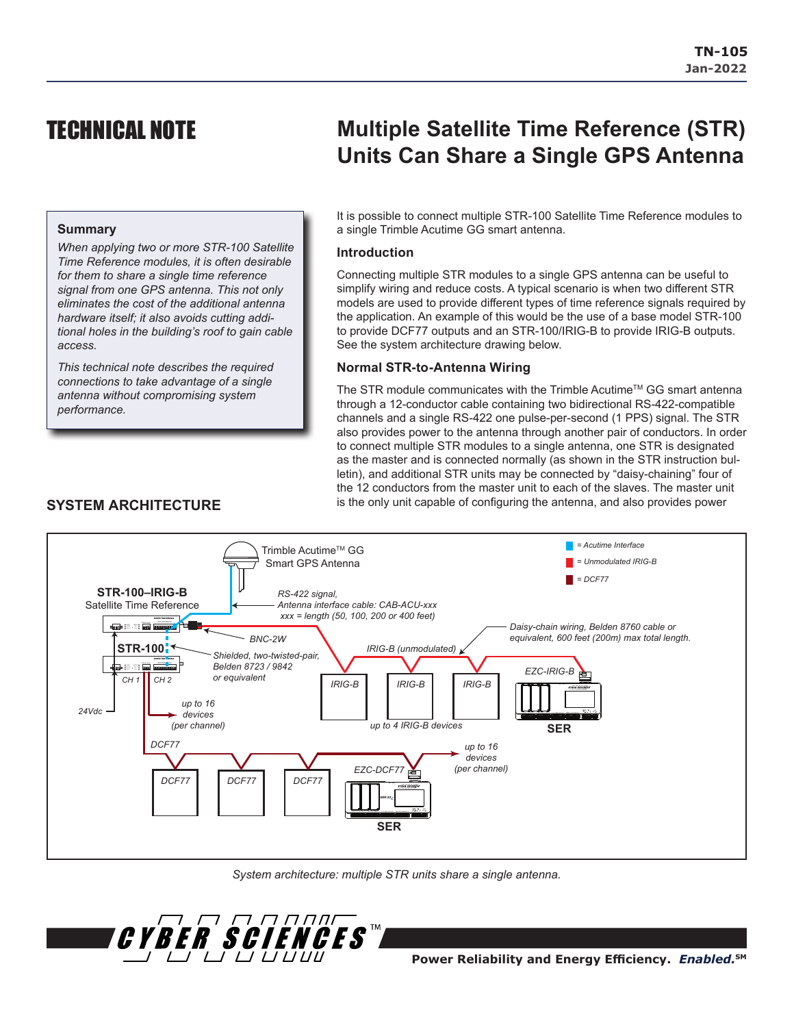# TECHNICAL NOTE

# **Multiple Satellite Time Reference (STR) Units Can Share a Single GPS Antenna**

### **Summary**

*When applying two or more STR-100 Satellite Time Reference modules, it is often desirable for them to share a single time reference signal from one GPS antenna. This not only eliminates the cost of the additional antenna hardware itself; it also avoids cutting additional holes in the building's roof to gain cable access.*

*This technical note describes the required connections to take advantage of a single antenna without compromising system performance.*

#### It is possible to connect multiple STR-100 Satellite Time Reference modules to a single Trimble Acutime GG smart antenna.

#### **Introduction**

Connecting multiple STR modules to a single GPS antenna can be useful to simplify wiring and reduce costs. A typical scenario is when two different STR models are used to provide different types of time reference signals required by the application. An example of this would be the use of a base model STR-100 to provide DCF77 outputs and an STR-100/IRIG-B to provide IRIG-B outputs. See the system architecture drawing below.

#### **Normal STR-to-Antenna Wiring**

The STR module communicates with the Trimble Acutime<sup>TM</sup> GG smart antenna through a 12-conductor cable containing two bidirectional RS-422-compatible channels and a single RS-422 one pulse-per-second (1 PPS) signal. The STR also provides power to the antenna through another pair of conductors. In order to connect multiple STR modules to a single antenna, one STR is designated as the master and is connected normally (as shown in the STR instruction bulletin), and additional STR units may be connected by "daisy-chaining" four of the 12 conductors from the master unit to each of the slaves. The master unit is the only unit capable of configuring the antenna, and also provides power



*System architecture: multiple STR units share a single antenna.*



## **Power Reliability and Energy Efficiency.** *Enabled.***SM**

## **SYSTEM ARCHITECTURE**